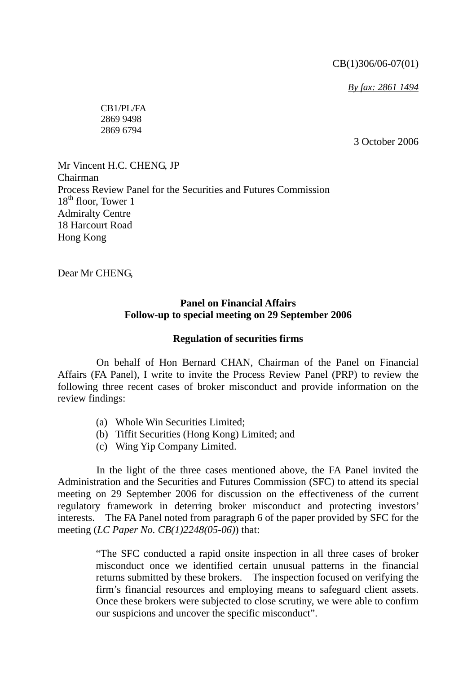CB(1)306/06-07(01)

*By fax: 2861 1494*

CB1/PL/FA 2869 9498 2869 6794

3 October 2006

Mr Vincent H.C. CHENG, JP Chairman Process Review Panel for the Securities and Futures Commission  $18<sup>th</sup>$  floor, Tower 1 Admiralty Centre 18 Harcourt Road Hong Kong

Dear Mr CHENG,

## **Panel on Financial Affairs Follow-up to special meeting on 29 September 2006**

## **Regulation of securities firms**

 On behalf of Hon Bernard CHAN, Chairman of the Panel on Financial Affairs (FA Panel), I write to invite the Process Review Panel (PRP) to review the following three recent cases of broker misconduct and provide information on the review findings:

- (a) Whole Win Securities Limited;
- (b) Tiffit Securities (Hong Kong) Limited; and
- (c) Wing Yip Company Limited.

 In the light of the three cases mentioned above, the FA Panel invited the Administration and the Securities and Futures Commission (SFC) to attend its special meeting on 29 September 2006 for discussion on the effectiveness of the current regulatory framework in deterring broker misconduct and protecting investors' interests. The FA Panel noted from paragraph 6 of the paper provided by SFC for the meeting (*LC Paper No. CB(1)2248(05-06)*) that:

> "The SFC conducted a rapid onsite inspection in all three cases of broker misconduct once we identified certain unusual patterns in the financial returns submitted by these brokers. The inspection focused on verifying the firm's financial resources and employing means to safeguard client assets. Once these brokers were subjected to close scrutiny, we were able to confirm our suspicions and uncover the specific misconduct".